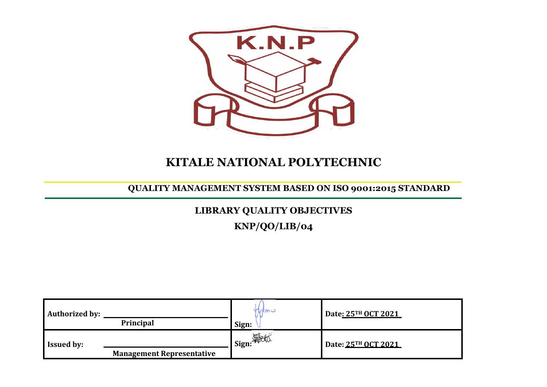

# **KITALE NATIONAL POLYTECHNIC**

## **QUALITY MANAGEMENT SYSTEM BASED ON ISO 9001:2015 STANDARD**

## **LIBRARY QUALITY OBJECTIVES**

**KNP/QO/LIB/04**

| Authorized by:    | Principal                        | Iyowr<br>Sign: | Date <u>: 25TH OCT 2021</u> |
|-------------------|----------------------------------|----------------|-----------------------------|
| <b>Issued by:</b> | <b>Management Representative</b> | _1 Sign: 海冰    | Date: 25TH OCT 2021         |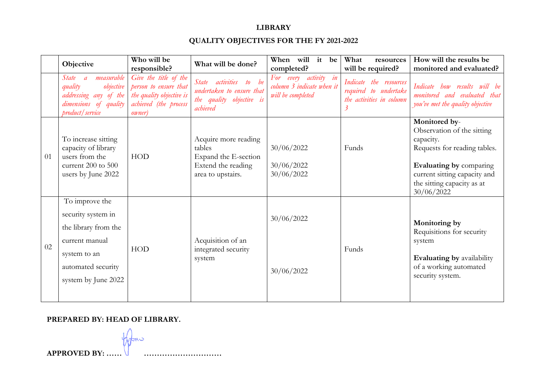#### **LIBRARY**

### **QUALITY OBJECTIVES FOR THE FY 2021-2022**

|    | Objective                                                                                                                                   | Who will be<br>responsible?                                                                                           | What will be done?                                                                                | When will it<br>be<br>completed?                                        | What<br>resources<br>will be required?                                           | How will the results be<br>monitored and evaluated?                                                                                                                                             |
|----|---------------------------------------------------------------------------------------------------------------------------------------------|-----------------------------------------------------------------------------------------------------------------------|---------------------------------------------------------------------------------------------------|-------------------------------------------------------------------------|----------------------------------------------------------------------------------|-------------------------------------------------------------------------------------------------------------------------------------------------------------------------------------------------|
|    | measurable<br>State<br>$\overline{a}$<br>quality<br>objective<br>addressing any of the<br>dimensions of quality<br>product / service        | Give the title of the<br>person to ensure that<br>the quality objective is<br>achieved (the process<br><i>owner</i> ) | State activities to be<br>undertaken to ensure that<br>the quality objective is<br>achieved       | For every activity in<br>column 3 indicate when it<br>will be completed | Indicate the resources<br>required to undertake<br>the activities in column<br>3 | Indicate how results will be<br>monitored and evaluated that<br>you've met the quality objective                                                                                                |
| 01 | To increase sitting<br>capacity of library<br>users from the<br>current 200 to 500<br>users by June 2022                                    | <b>HOD</b>                                                                                                            | Acquire more reading<br>tables<br>Expand the E-section<br>Extend the reading<br>area to upstairs. | 30/06/2022<br>30/06/2022<br>30/06/2022                                  | Funds                                                                            | Monitored by-<br>Observation of the sitting<br>capacity.<br>Requests for reading tables.<br>Evaluating by comparing<br>current sitting capacity and<br>the sitting capacity as at<br>30/06/2022 |
| 02 | To improve the<br>security system in<br>the library from the<br>current manual<br>system to an<br>automated security<br>system by June 2022 | <b>HOD</b>                                                                                                            | Acquisition of an<br>integrated security<br>system                                                | 30/06/2022<br>30/06/2022                                                | Funds                                                                            | Monitoring by<br>Requisitions for security<br>system<br><b>Evaluating by availability</b><br>of a working automated<br>security system.                                                         |

#### **PREPARED BY: HEAD OF LIBRARY.**

kmu **APPROVED BY: …… …………………………**